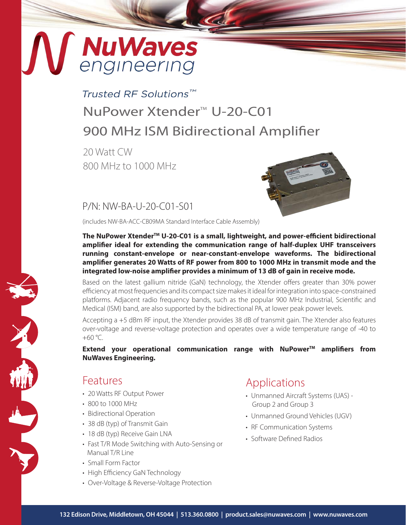# MuWaves

# Trusted RF Solutions™ NuPower Xtender<sup>™</sup> U-20-C01 900 MHz ISM Bidirectional Amplifier

20 Watt CW 800 MHz to 1000 MHz



P/N: NW-BA-U-20-C01-S01

(includes NW-BA-ACC-CB09MA Standard Interface Cable Assembly)

The NuPower Xtender<sup>™</sup> U-20-C01 is a small, lightweight, and power-efficient bidirectional **amplifier ideal for extending the communication range of half-duplex UHF transceivers running constant-envelope or near-constant-envelope waveforms. The bidirectional amplifier generates 20 Watts of RF power from 800 to 1000 MHz in transmit mode and the integrated low-noise amplifier provides a minimum of 13 dB of gain in receive mode.**

Based on the latest gallium nitride (GaN) technology, the Xtender offers greater than 30% power efficiency at most frequencies and its compact size makes it ideal for integration into space-constrained platforms. Adjacent radio frequency bands, such as the popular 900 MHz Industrial, Scientific and Medical (ISM) band, are also supported by the bidirectional PA, at lower peak power levels.

Accepting a +5 dBm RF input, the Xtender provides 38 dB of transmit gain. The Xtender also features over-voltage and reverse-voltage protection and operates over a wide temperature range of -40 to  $+60 °C$ .

**Extend your operational communication range with NuPower™ amplifiers from NuWaves Engineering.**

## Features

- 20 Watts RF Output Power
- 800 to 1000 MHz
- Bidirectional Operation
- 38 dB (typ) of Transmit Gain
- 18 dB (typ) Receive Gain LNA
- Fast T/R Mode Switching with Auto-Sensing or Manual T/R Line
- Small Form Factor
- High Efficiency GaN Technology
- Over-Voltage & Reverse-Voltage Protection

## Applications

- Unmanned Aircraft Systems (UAS) Group 2 and Group 3
- Unmanned Ground Vehicles (UGV)
- RF Communication Systems
- Software Defined Radios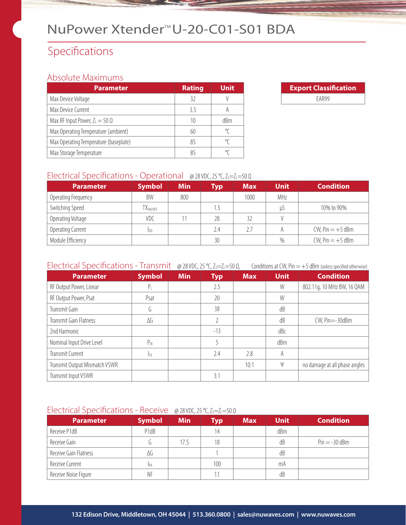## Specifications

## Absolute Maximums

| <b>Parameter</b>                      | <b>Rating</b> | <b>Unit</b> |
|---------------------------------------|---------------|-------------|
| Max Device Voltage                    | 32            |             |
| Max Device Current                    | 35            |             |
| Max RF Input Power, $Z_L = 50 \Omega$ | 10            | dBm         |
| Max Operating Temperature (ambient)   | 60            | °C          |
| Max Operating Temperature (baseplate) | 85            |             |
| Max Storage Temperature               | 85            |             |

| <b>Export Classification</b> |  |  |  |  |
|------------------------------|--|--|--|--|
| FAR99                        |  |  |  |  |

#### Electrical Specifications - Operational @ 28 VDC, 25 °C, Z<sub>S</sub>=Z<sub>L</sub>=50 Ω

| <b>Parameter</b>    | <b>Symbol</b>        | <b>Min</b> | <b>Typ</b>      | <b>Max</b> | <b>Unit</b> | <b>Condition</b>      |
|---------------------|----------------------|------------|-----------------|------------|-------------|-----------------------|
| Operating Frequency | BW                   | 800        |                 | 1000       | MHz         |                       |
| Switching Speed     | TX <sub>ON/OFF</sub> |            | 1.5             |            | U)          | 10% to 90%            |
| Operating Voltage   | VDC                  |            | 28              | 32         |             |                       |
| Operating Current   | Ipp                  |            | 2.4             | 2.7        |             | $CW$ , Pin $= +5$ dBm |
| Module Efficiency   |                      |            | 30 <sup>°</sup> |            | $\%$        | $CW$ , Pin $= +5$ dBm |

## Electrical Specifications - Transmit @ 28 VDC, 25 °C, Z<sub>S</sub>=Z<sub>L</sub>=50 Ω, Conditions at CW, Pin = +5 dBm (unless specified otherwise)

| <b>Parameter</b>              | <b>Symbol</b> | <b>Min</b> | <b>Typ</b> | <b>Max</b> | <b>Unit</b> | <b>Condition</b>              |
|-------------------------------|---------------|------------|------------|------------|-------------|-------------------------------|
| RF Output Power, Linear       | $P_{\perp}$   |            | 2.5        |            | W           | 802.11g, 10 MHz BW, 16 QAM    |
| RF Output Power, Psat         | Psat          |            | 20         |            | W           |                               |
| Transmit Gain                 | G.            |            | 38         |            | dB          |                               |
| Transmit Gain Flatness        | ΔG            |            |            |            | dB          | $CW$ , Pin= $-30$ dBm         |
| 2nd Harmonic                  |               |            | $-13$      |            | dBc         |                               |
| Nominal Input Drive Level     | $P_{IN}$      |            |            |            | dBm         |                               |
| Transmit Current              | Iтх           |            | 2.4        | 2.8        | A           |                               |
| Transmit Output Mismatch VSWR |               |            |            | 10:1       | ψ           | no damage at all phase angles |
| Transmit Input VSWR           |               |            | 3:1        |            |             |                               |

### Electrical Specifications - Receive @ 28 VDC, 25 °C, Z<sub>S</sub>=Z<sub>L</sub>=50 Ω

| <b>Parameter</b>      | <b>Symbol</b> | <b>Min</b> | Typ | <b>Max</b> | <b>Unit</b> | <b>Condition</b> |
|-----------------------|---------------|------------|-----|------------|-------------|------------------|
| Receive P1dB          | P1dB          |            | 14  |            | dBm         |                  |
| Receive Gain          |               | 17.5       | 18  |            | dB          | $Pin = -30$ dBm  |
| Receive Gain Flatness | ΔG            |            |     |            | dB          |                  |
| Receive Current       | <b>IRX</b>    |            | 100 |            | mA          |                  |
| Receive Noise Figure  | ΝF            |            | 1.1 |            | dB          |                  |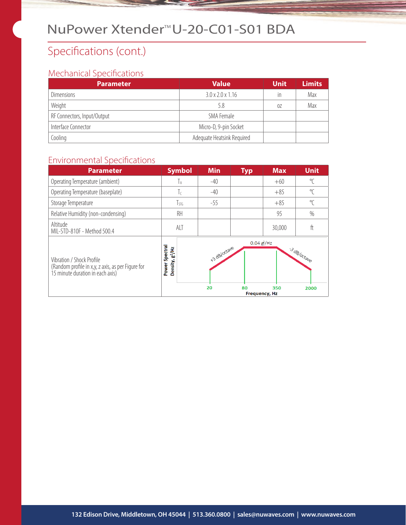## Specifications (cont.)

## Mechanical Specifications

| <b>Parameter</b>            | <b>Value</b>                 | <b>Unit</b> | <b>Limits</b> |
|-----------------------------|------------------------------|-------------|---------------|
| <b>Dimensions</b>           | $3.0 \times 2.0 \times 1.16$ | in          | Max           |
| Weight                      | 5.8                          | 07          | Max           |
| RF Connectors, Input/Output | SMA Female                   |             |               |
| Interface Connector         | Micro-D, 9-pin Socket        |             |               |
| Cooling                     | Adequate Heatsink Required   |             |               |

## Environmental Specifications

| <b>Parameter</b>                                                                                                   | <b>Symbol</b>                                     | <b>Min</b>         | <b>Typ</b>           | <b>Max</b> | <b>Unit</b>         |
|--------------------------------------------------------------------------------------------------------------------|---------------------------------------------------|--------------------|----------------------|------------|---------------------|
| Operating Temperature (ambient)                                                                                    | ĪА                                                | $-40$              |                      | $+60$      | $\sqrt{\ }$         |
| Operating Temperature (baseplate)                                                                                  | Τc                                                | $-40$              |                      | $+85$      | $\circ$             |
| Storage Temperature                                                                                                | $T_{STG}$                                         | $-55$              |                      | $+85$      | $\circ$             |
| Relative Humidity (non-condensing)                                                                                 | RH                                                |                    |                      | 95         | $\%$                |
| Altitude<br>MIL-STD-810F - Method 500.4                                                                            | <b>ALT</b>                                        |                    |                      | 30,000     | ft                  |
| Vibration / Shock Profile<br>(Random profile in x,y, z axis, as per Figure for<br>15 minute duration in each axis) | Spectral<br>Density, g <sup>2</sup> /Hz<br>Power: | +3 dB/octave<br>20 | $0.04$ $g$ /Hz<br>80 | 350        | 3 dB/octave<br>2000 |
|                                                                                                                    |                                                   |                    | <b>Frequency, Hz</b> |            |                     |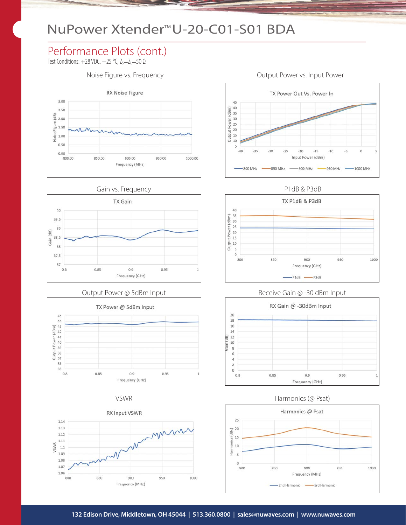## Performance Plots (cont.)

Test Conditions:  $+28$  VDC,  $+25$  °C,  $Z_s = Z_L = 50$   $\Omega$ 





#### Output Power @ 5dBm Input









P1dB & P3dB



#### Receive Gain @ -30 dBm Input



#### VSWR Harmonics (@ Psat)



#### Noise Figure vs. Frequency **Noise Figure vs. Input Power**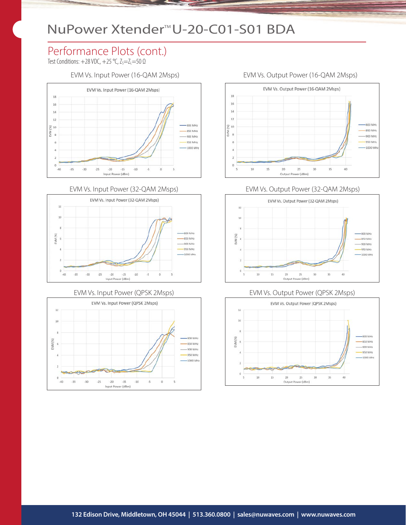## Performance Plots (cont.)

Test Conditions:  $+28$  VDC,  $+25$  °C,  $Z_s = Z_L = 50 \Omega$ 

EVM Vs. Input Power (16-QAM 2Msps) EVM Vs. Output Power (16-QAM 2Msps)





#### EVM Vs. Input Power (QPSK 2Msps)





#### EVM Vs. Output Power (32-QAM 2Msps)



#### EVM Vs. Output Power (QPSK 2Msps)